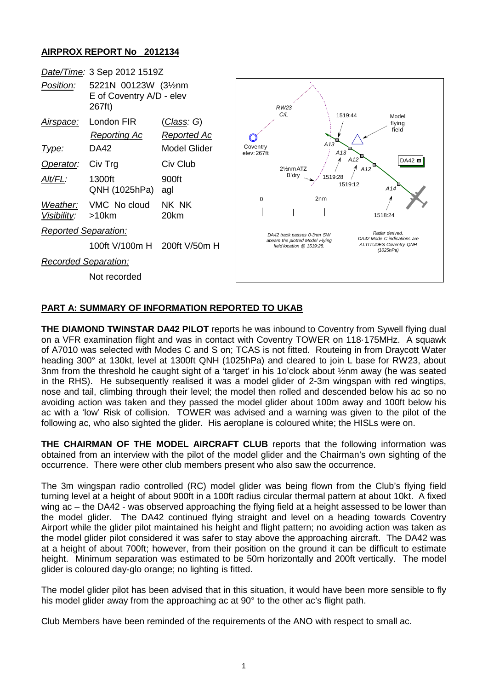## **AIRPROX REPORT No 2012134**

|                             | Date/Time: 3 Sep 2012 1519Z                                |                                           |                                                                                                                                                                                                                                           |
|-----------------------------|------------------------------------------------------------|-------------------------------------------|-------------------------------------------------------------------------------------------------------------------------------------------------------------------------------------------------------------------------------------------|
| Position:                   | 5221N 00123W (31/2nm<br>E of Coventry A/D - elev<br>267ft) |                                           | <b>RW23</b><br>C/L                                                                                                                                                                                                                        |
| Airspace:                   | London FIR                                                 | <u>(Class</u> : G)                        | 1519:44<br>Model<br>flying<br>field<br>A13<br>Coventry<br>A13<br>elev: 267ft<br>A <sub>12</sub><br>$DA42$ $\blacksquare$<br>A12<br>21/ <sub>2</sub> nm ATZ<br>B'drv<br>1519:28<br>1519:12<br>A14<br>2 <sub>n</sub><br>$\Omega$<br>1518:24 |
| Type:                       | <b>Reporting Ac</b><br>DA42                                | <u>Reported Ac</u><br><b>Model Glider</b> |                                                                                                                                                                                                                                           |
| Operator:                   | Civ Trg                                                    | Civ Club                                  |                                                                                                                                                                                                                                           |
| Alt/FL:                     | 1300ft<br>QNH (1025hPa)                                    | 900ft<br>agl                              |                                                                                                                                                                                                                                           |
| Weather:<br>Visibility:     | VMC No cloud<br>$>10$ km                                   | NK NK<br>20km                             |                                                                                                                                                                                                                                           |
| <b>Reported Separation:</b> |                                                            |                                           | Radar derived.<br>DA42 track passes 0-3nm SW                                                                                                                                                                                              |
|                             | 100ft V/100m H                                             | 200ft V/50m H                             | DA42 Mode C indications are<br>abeam the plotted Model Flying<br><b>ALTITUDES Coventry QNH</b><br>field location @ 1519:28.<br>(1025hPa)                                                                                                  |
| <b>Recorded Separation:</b> |                                                            |                                           |                                                                                                                                                                                                                                           |
|                             | Not recorded                                               |                                           |                                                                                                                                                                                                                                           |

## **PART A: SUMMARY OF INFORMATION REPORTED TO UKAB**

**THE DIAMOND TWINSTAR DA42 PILOT** reports he was inbound to Coventry from Sywell flying dual on a VFR examination flight and was in contact with Coventry TOWER on 118·175MHz. A squawk of A7010 was selected with Modes C and S on; TCAS is not fitted. Routeing in from Draycott Water heading 300° at 130kt, level at 1300ft QNH (1025hPa) and cleared to join L base for RW23, about 3nm from the threshold he caught sight of a 'target' in his 1o'clock about ½nm away (he was seated in the RHS). He subsequently realised it was a model glider of 2-3m wingspan with red wingtips, nose and tail, climbing through their level; the model then rolled and descended below his ac so no avoiding action was taken and they passed the model glider about 100m away and 100ft below his ac with a 'low' Risk of collision. TOWER was advised and a warning was given to the pilot of the following ac, who also sighted the glider. His aeroplane is coloured white; the HISLs were on.

**THE CHAIRMAN OF THE MODEL AIRCRAFT CLUB** reports that the following information was obtained from an interview with the pilot of the model glider and the Chairman's own sighting of the occurrence. There were other club members present who also saw the occurrence.

The 3m wingspan radio controlled (RC) model glider was being flown from the Club's flying field turning level at a height of about 900ft in a 100ft radius circular thermal pattern at about 10kt. A fixed wing ac – the DA42 - was observed approaching the flying field at a height assessed to be lower than the model glider. The DA42 continued flying straight and level on a heading towards Coventry Airport while the glider pilot maintained his height and flight pattern; no avoiding action was taken as the model glider pilot considered it was safer to stay above the approaching aircraft. The DA42 was at a height of about 700ft; however, from their position on the ground it can be difficult to estimate height. Minimum separation was estimated to be 50m horizontally and 200ft vertically. The model glider is coloured day-glo orange; no lighting is fitted.

The model glider pilot has been advised that in this situation, it would have been more sensible to fly his model glider away from the approaching ac at 90° to the other ac's flight path.

Club Members have been reminded of the requirements of the ANO with respect to small ac.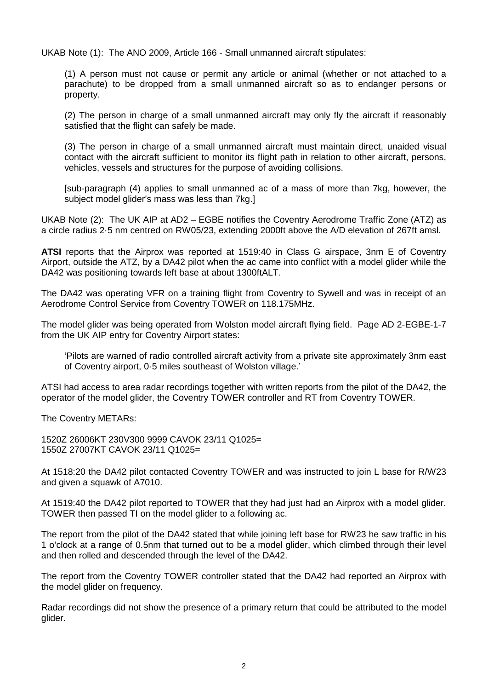UKAB Note (1): The ANO 2009, Article 166 - Small unmanned aircraft stipulates:

(1) A person must not cause or permit any article or animal (whether or not attached to a parachute) to be dropped from a small unmanned aircraft so as to endanger persons or property.

(2) The person in charge of a small unmanned aircraft may only fly the aircraft if reasonably satisfied that the flight can safely be made.

(3) The person in charge of a small unmanned aircraft must maintain direct, unaided visual contact with the aircraft sufficient to monitor its flight path in relation to other aircraft, persons, vehicles, vessels and structures for the purpose of avoiding collisions.

[sub-paragraph (4) applies to small unmanned ac of a mass of more than 7kg, however, the subject model glider's mass was less than 7kg.]

UKAB Note (2): The UK AIP at AD2 – EGBE notifies the Coventry Aerodrome Traffic Zone (ATZ) as a circle radius 2·5 nm centred on RW05/23, extending 2000ft above the A/D elevation of 267ft amsl.

**ATSI** reports that the Airprox was reported at 1519:40 in Class G airspace, 3nm E of Coventry Airport, outside the ATZ, by a DA42 pilot when the ac came into conflict with a model glider while the DA42 was positioning towards left base at about 1300ftALT.

The DA42 was operating VFR on a training flight from Coventry to Sywell and was in receipt of an Aerodrome Control Service from Coventry TOWER on 118.175MHz.

The model glider was being operated from Wolston model aircraft flying field. Page AD 2-EGBE-1-7 from the UK AIP entry for Coventry Airport states:

'Pilots are warned of radio controlled aircraft activity from a private site approximately 3nm east of Coventry airport, 0·5 miles southeast of Wolston village.'

ATSI had access to area radar recordings together with written reports from the pilot of the DA42, the operator of the model glider, the Coventry TOWER controller and RT from Coventry TOWER.

The Coventry METARs:

1520Z 26006KT 230V300 9999 CAVOK 23/11 Q1025= 1550Z 27007KT CAVOK 23/11 Q1025=

At 1518:20 the DA42 pilot contacted Coventry TOWER and was instructed to join L base for R/W23 and given a squawk of A7010.

At 1519:40 the DA42 pilot reported to TOWER that they had just had an Airprox with a model glider. TOWER then passed TI on the model glider to a following ac.

The report from the pilot of the DA42 stated that while joining left base for RW23 he saw traffic in his 1 o'clock at a range of 0.5nm that turned out to be a model glider, which climbed through their level and then rolled and descended through the level of the DA42.

The report from the Coventry TOWER controller stated that the DA42 had reported an Airprox with the model glider on frequency.

Radar recordings did not show the presence of a primary return that could be attributed to the model glider.